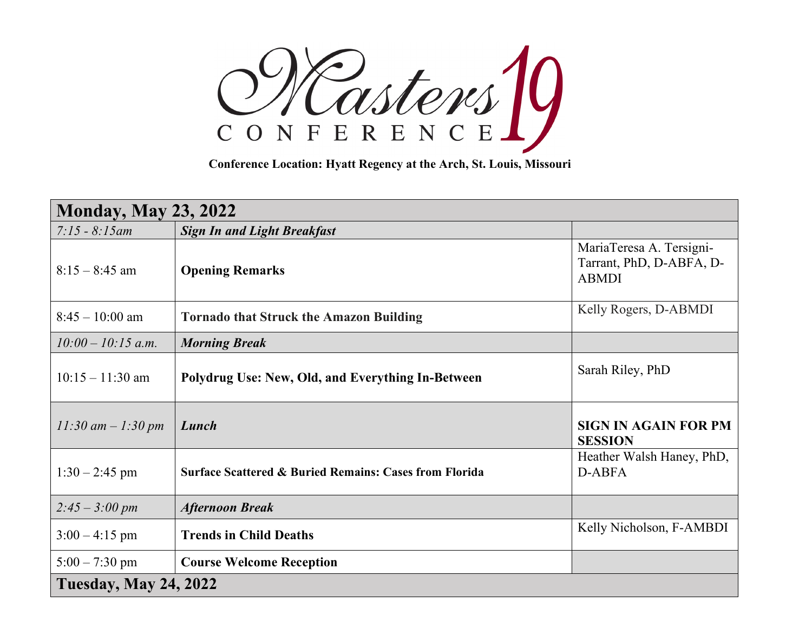CONFERENCE<br>
CONFERENCE<br>
Conference Location: Hyatt Regency at the Arch, St. Louis, Missouri

| <b>Monday, May 23, 2022</b>  |                                                                   |                                                                      |  |  |
|------------------------------|-------------------------------------------------------------------|----------------------------------------------------------------------|--|--|
| $7:15 - 8:15$ am             | <b>Sign In and Light Breakfast</b>                                |                                                                      |  |  |
| $8:15 - 8:45$ am             | <b>Opening Remarks</b>                                            | MariaTeresa A. Tersigni-<br>Tarrant, PhD, D-ABFA, D-<br><b>ABMDI</b> |  |  |
| $8:45 - 10:00$ am            | <b>Tornado that Struck the Amazon Building</b>                    | Kelly Rogers, D-ABMDI                                                |  |  |
| $10:00 - 10:15$ a.m.         | <b>Morning Break</b>                                              |                                                                      |  |  |
| $10:15 - 11:30$ am           | Polydrug Use: New, Old, and Everything In-Between                 | Sarah Riley, PhD                                                     |  |  |
| $11:30$ am $-1:30$ pm        | Lunch                                                             | <b>SIGN IN AGAIN FOR PM</b><br><b>SESSION</b>                        |  |  |
| $1:30 - 2:45$ pm             | <b>Surface Scattered &amp; Buried Remains: Cases from Florida</b> | Heather Walsh Haney, PhD,<br>D-ABFA                                  |  |  |
| $2:45 - 3:00 \text{ pm}$     | <b>Afternoon Break</b>                                            |                                                                      |  |  |
| $3:00 - 4:15$ pm             | <b>Trends in Child Deaths</b>                                     | Kelly Nicholson, F-AMBDI                                             |  |  |
| $5:00 - 7:30$ pm             | <b>Course Welcome Reception</b>                                   |                                                                      |  |  |
| <b>Tuesday, May 24, 2022</b> |                                                                   |                                                                      |  |  |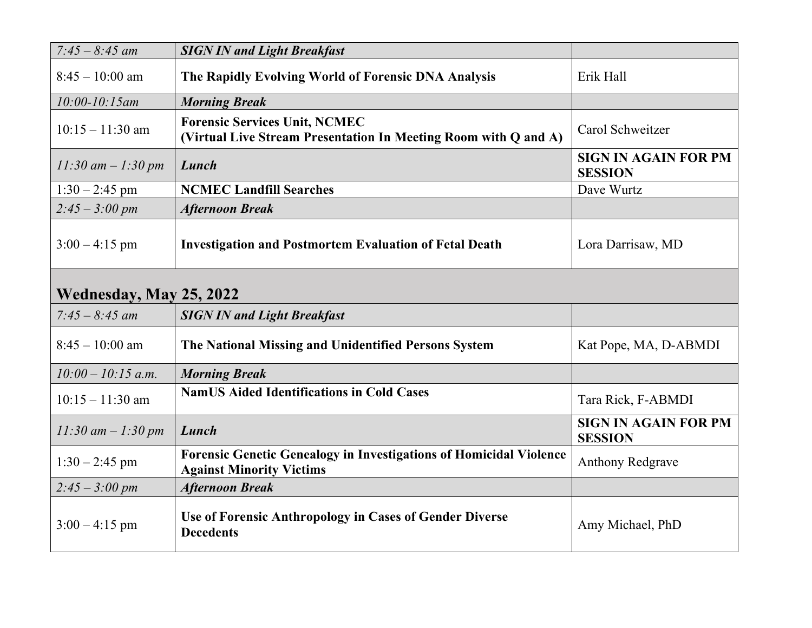| $7:45 - 8:45$ am         | <b>SIGN IN and Light Breakfast</b>                                                                           |                                               |  |
|--------------------------|--------------------------------------------------------------------------------------------------------------|-----------------------------------------------|--|
| $8:45 - 10:00$ am        | The Rapidly Evolving World of Forensic DNA Analysis                                                          | Erik Hall                                     |  |
| $10:00 - 10:15$ am       | <b>Morning Break</b>                                                                                         |                                               |  |
| $10:15 - 11:30$ am       | <b>Forensic Services Unit, NCMEC</b><br>(Virtual Live Stream Presentation In Meeting Room with Q and A)      | Carol Schweitzer                              |  |
| $11:30$ am $-1:30$ pm    | Lunch                                                                                                        | <b>SIGN IN AGAIN FOR PM</b><br><b>SESSION</b> |  |
| $1:30 - 2:45$ pm         | <b>NCMEC Landfill Searches</b>                                                                               | Dave Wurtz                                    |  |
| $2:45 - 3:00 \text{ pm}$ | <b>Afternoon Break</b>                                                                                       |                                               |  |
| $3:00 - 4:15$ pm         | <b>Investigation and Postmortem Evaluation of Fetal Death</b>                                                | Lora Darrisaw, MD                             |  |
| Wednesday, May 25, 2022  |                                                                                                              |                                               |  |
| $7:45 - 8:45$ am         | <b>SIGN IN and Light Breakfast</b>                                                                           |                                               |  |
| $8:45 - 10:00$ am        | The National Missing and Unidentified Persons System                                                         | Kat Pope, MA, D-ABMDI                         |  |
| $10:00 - 10:15$ a.m.     | <b>Morning Break</b>                                                                                         |                                               |  |
| $10:15 - 11:30$ am       | <b>NamUS Aided Identifications in Cold Cases</b>                                                             | Tara Rick, F-ABMDI                            |  |
| $11:30$ am $-1:30$ pm    | Lunch                                                                                                        | <b>SIGN IN AGAIN FOR PM</b><br><b>SESSION</b> |  |
| $1:30 - 2:45$ pm         | <b>Forensic Genetic Genealogy in Investigations of Homicidal Violence</b><br><b>Against Minority Victims</b> | <b>Anthony Redgrave</b>                       |  |
| $2:45 - 3:00 \text{ pm}$ | <b>Afternoon Break</b>                                                                                       |                                               |  |
| $3:00 - 4:15$ pm         | Use of Forensic Anthropology in Cases of Gender Diverse<br><b>Decedents</b>                                  | Amy Michael, PhD                              |  |